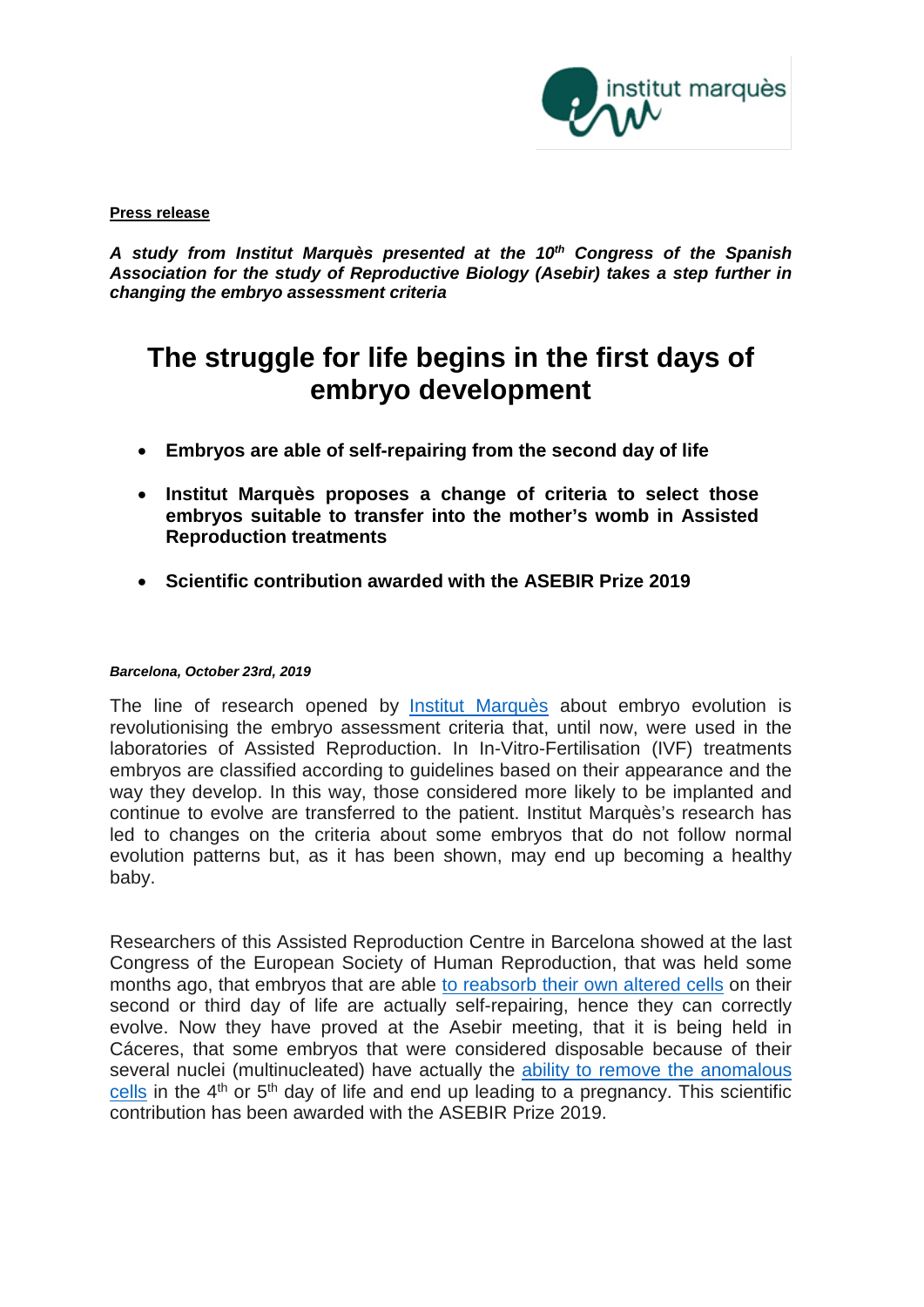

#### **Press release**

*A study from Institut Marquès presented at the 10th Congress of the Spanish Association for the study of Reproductive Biology (Asebir) takes a step further in changing the embryo assessment criteria*

# **The struggle for life begins in the first days of embryo development**

- **Embryos are able of self-repairing from the second day of life**
- **Institut Marquès proposes a change of criteria to select those embryos suitable to transfer into the mother's womb in Assisted Reproduction treatments**
- **Scientific contribution awarded with the ASEBIR Prize 2019**

#### *Barcelona, October 23rd, 2019*

The line of research opened by [Institut Marquès](http://www.institutomarques.com/en) about embryo evolution is revolutionising the embryo assessment criteria that, until now, were used in the laboratories of Assisted Reproduction. In In-Vitro-Fertilisation (IVF) treatments embryos are classified according to guidelines based on their appearance and the way they develop. In this way, those considered more likely to be implanted and continue to evolve are transferred to the patient. Institut Marquès's research has led to changes on the criteria about some embryos that do not follow normal evolution patterns but, as it has been shown, may end up becoming a healthy baby.

Researchers of this Assisted Reproduction Centre in Barcelona showed at the last Congress of the European Society of Human Reproduction, that was held some months ago, that embryos that are able [to reabsorb their own altered cells](https://www.youtube.com/watch?v=vq8ki_UA2-E&feature=youtu.be) on their second or third day of life are actually self-repairing, hence they can correctly evolve. Now they have proved at the Asebir meeting, that it is being held in Cáceres, that some embryos that were considered disposable because of their several nuclei (multinucleated) have actually the [ability to remove](https://youtu.be/S4s5eTacp4k) the anomalous [cells](https://youtu.be/S4s5eTacp4k) in the  $4<sup>th</sup>$  or  $5<sup>th</sup>$  day of life and end up leading to a pregnancy. This scientific contribution has been awarded with the ASEBIR Prize 2019.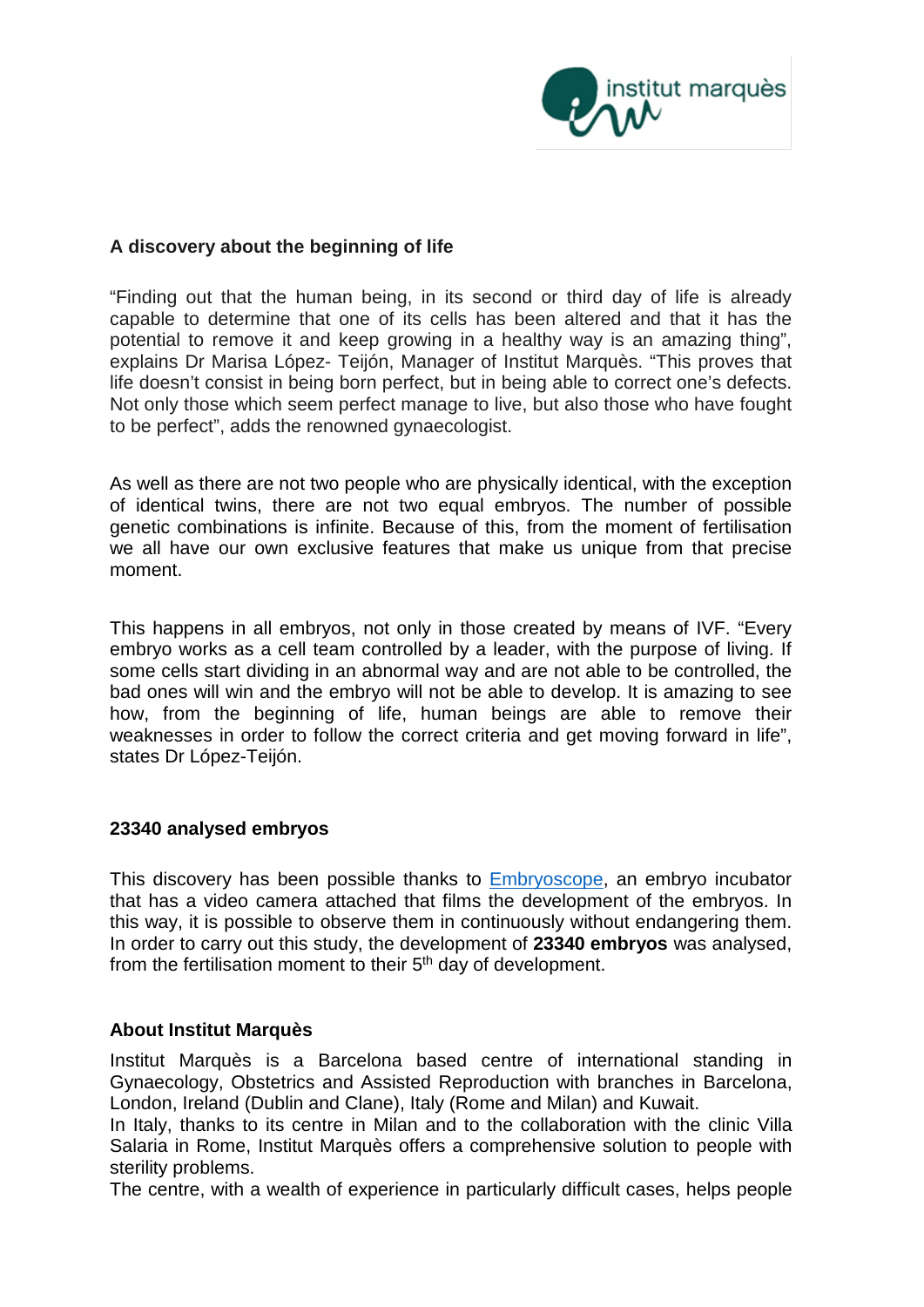

## **A discovery about the beginning of life**

"Finding out that the human being, in its second or third day of life is already capable to determine that one of its cells has been altered and that it has the potential to remove it and keep growing in a healthy way is an amazing thing", explains Dr Marisa López- Teijón, Manager of Institut Marquès. "This proves that life doesn't consist in being born perfect, but in being able to correct one's defects. Not only those which seem perfect manage to live, but also those who have fought to be perfect", adds the renowned gynaecologist.

As well as there are not two people who are physically identical, with the exception of identical twins, there are not two equal embryos. The number of possible genetic combinations is infinite. Because of this, from the moment of fertilisation we all have our own exclusive features that make us unique from that precise moment.

This happens in all embryos, not only in those created by means of IVF. "Every embryo works as a cell team controlled by a leader, with the purpose of living. If some cells start dividing in an abnormal way and are not able to be controlled, the bad ones will win and the embryo will not be able to develop. It is amazing to see how, from the beginning of life, human beings are able to remove their weaknesses in order to follow the correct criteria and get moving forward in life", states Dr López-Teijón.

## **23340 analysed embryos**

This discovery has been possible thanks to **Embryoscope**, an embryo incubator that has a video camera attached that films the development of the embryos. In this way, it is possible to observe them in continuously without endangering them. In order to carry out this study, the development of **23340 embryos** was analysed, from the fertilisation moment to their 5th day of development.

## **About Institut Marquès**

Institut Marquès is a Barcelona based centre of international standing in Gynaecology, Obstetrics and Assisted Reproduction with branches in Barcelona, London, Ireland (Dublin and Clane), Italy (Rome and Milan) and Kuwait.

In Italy, thanks to its centre in Milan and to the collaboration with the clinic Villa Salaria in Rome, Institut Marquès offers a comprehensive solution to people with sterility problems.

The centre, with a wealth of experience in particularly difficult cases, helps people